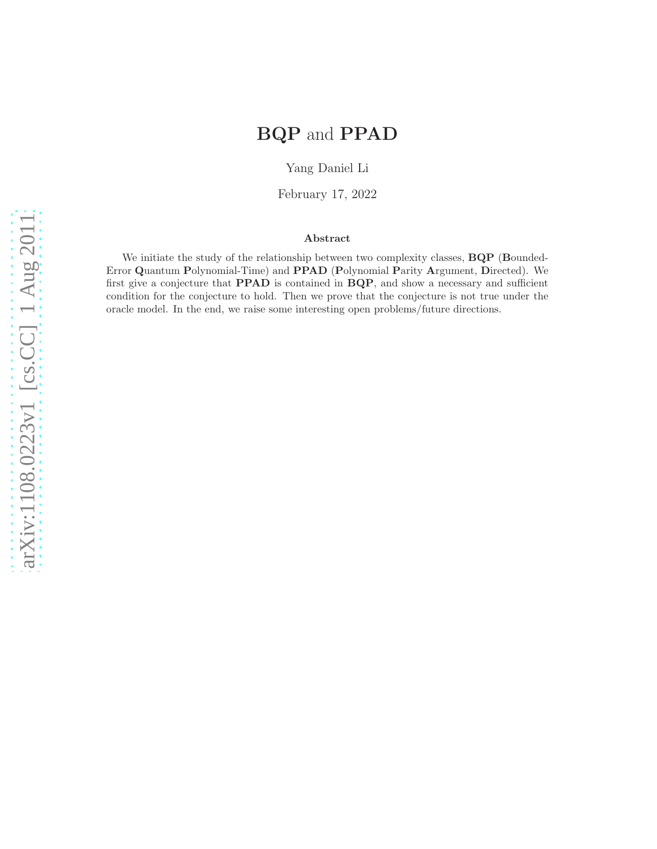# BQP and PPAD

Yang Daniel Li

February 17, 2022

### Abstract

We initiate the study of the relationship between two complexity classes, **BQP** (Bounded-Error Quantum Polynomial-Time) and PPAD (Polynomial Parity Argument, Directed). We first give a conjecture that PPAD is contained in BQP, and show a necessary and sufficient condition for the conjecture to hold. Then we prove that the conjecture is not true under the oracle model. In the end, we raise some interesting open problems/future directions.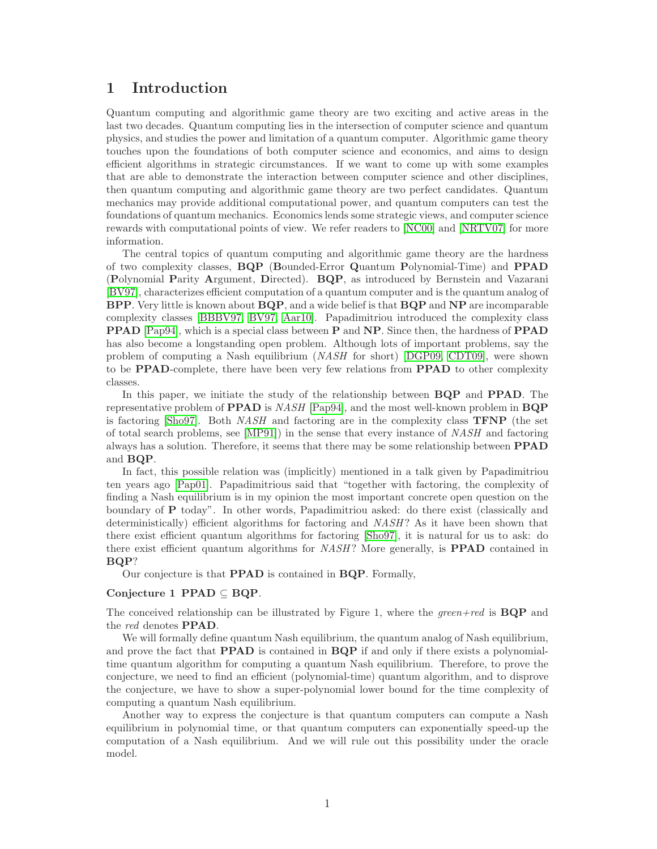## 1 Introduction

Quantum computing and algorithmic game theory are two exciting and active areas in the last two decades. Quantum computing lies in the intersection of computer science and quantum physics, and studies the power and limitation of a quantum computer. Algorithmic game theory touches upon the foundations of both computer science and economics, and aims to design efficient algorithms in strategic circumstances. If we want to come up with some examples that are able to demonstrate the interaction between computer science and other disciplines, then quantum computing and algorithmic game theory are two perfect candidates. Quantum mechanics may provide additional computational power, and quantum computers can test the foundations of quantum mechanics. Economics lends some strategic views, and computer science rewards with computational points of view. We refer readers to [\[NC00\]](#page-11-0) and [\[NRTV07\]](#page-11-1) for more information.

The central topics of quantum computing and algorithmic game theory are the hardness of two complexity classes, BQP (Bounded-Error Quantum Polynomial-Time) and PPAD (Polynomial Parity Argument, Directed). BQP, as introduced by Bernstein and Vazarani [\[BV97\]](#page-11-2), characterizes efficient computation of a quantum computer and is the quantum analog of BPP. Very little is known about BQP, and a wide belief is that BQP and NP are incomparable complexity classes [\[BBBV97,](#page-11-3) [BV97,](#page-11-2) [Aar10\]](#page-11-4). Papadimitriou introduced the complexity class PPAD [\[Pap94\]](#page-11-5), which is a special class between P and NP. Since then, the hardness of PPAD has also become a longstanding open problem. Although lots of important problems, say the problem of computing a Nash equilibrium (NASH for short) [\[DGP09,](#page-11-6) [CDT09\]](#page-11-7), were shown to be PPAD-complete, there have been very few relations from PPAD to other complexity classes.

In this paper, we initiate the study of the relationship between  $BQP$  and **PPAD**. The representative problem of **PPAD** is NASH [\[Pap94\]](#page-11-5), and the most well-known problem in  $BQP$ is factoring [\[Sho97\]](#page-11-8). Both  $NASH$  and factoring are in the complexity class **TFNP** (the set of total search problems, see [\[MP91\]](#page-11-9)) in the sense that every instance of NASH and factoring always has a solution. Therefore, it seems that there may be some relationship between PPAD and BQP.

In fact, this possible relation was (implicitly) mentioned in a talk given by Papadimitriou ten years ago [\[Pap01\]](#page-11-10). Papadimitrious said that "together with factoring, the complexity of finding a Nash equilibrium is in my opinion the most important concrete open question on the boundary of P today". In other words, Papadimitriou asked: do there exist (classically and deterministically) efficient algorithms for factoring and NASH? As it have been shown that there exist efficient quantum algorithms for factoring [\[Sho97\]](#page-11-8), it is natural for us to ask: do there exist efficient quantum algorithms for *NASH*? More generally, is **PPAD** contained in BQP?

Our conjecture is that PPAD is contained in BQP. Formally,

#### Conjecture 1 PPAD  $\subseteq$  BQP.

The conceived relationship can be illustrated by Figure 1, where the *green+red* is  $BQP$  and the *red* denotes **PPAD**.

We will formally define quantum Nash equilibrium, the quantum analog of Nash equilibrium, and prove the fact that PPAD is contained in BQP if and only if there exists a polynomialtime quantum algorithm for computing a quantum Nash equilibrium. Therefore, to prove the conjecture, we need to find an efficient (polynomial-time) quantum algorithm, and to disprove the conjecture, we have to show a super-polynomial lower bound for the time complexity of computing a quantum Nash equilibrium.

Another way to express the conjecture is that quantum computers can compute a Nash equilibrium in polynomial time, or that quantum computers can exponentially speed-up the computation of a Nash equilibrium. And we will rule out this possibility under the oracle model.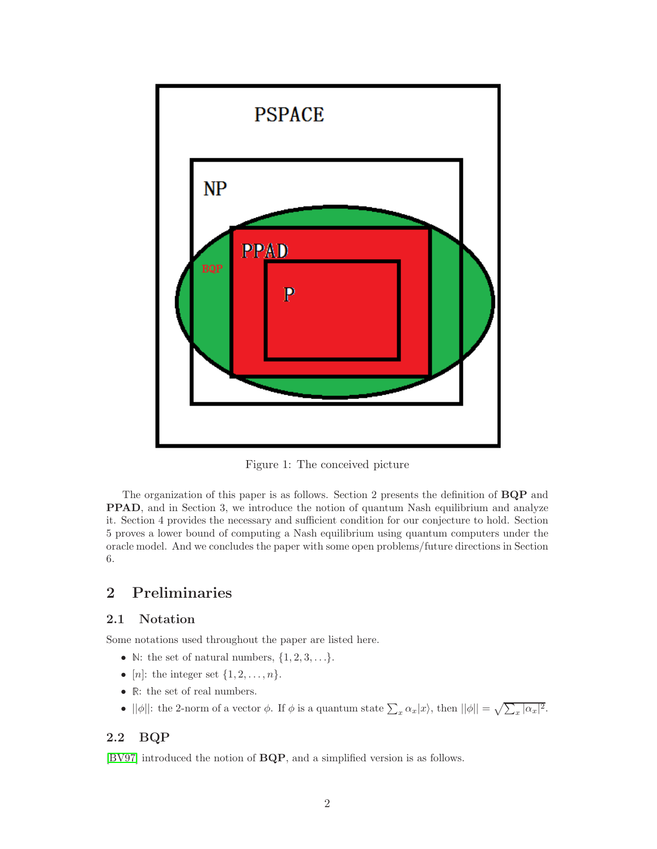

Figure 1: The conceived picture

The organization of this paper is as follows. Section 2 presents the definition of BQP and PPAD, and in Section 3, we introduce the notion of quantum Nash equilibrium and analyze it. Section 4 provides the necessary and sufficient condition for our conjecture to hold. Section 5 proves a lower bound of computing a Nash equilibrium using quantum computers under the oracle model. And we concludes the paper with some open problems/future directions in Section 6.

# 2 Preliminaries

### 2.1 Notation

Some notations used throughout the paper are listed here.

- N: the set of natural numbers,  $\{1, 2, 3, \ldots\}$ .
- [*n*]: the integer set  $\{1, 2, \ldots, n\}$ .
- $\bullet~\mathbb{R} \colon$  the set of real numbers.
- $||\phi||$ : the 2-norm of a vector  $\phi$ . If  $\phi$  is a quantum state  $\sum_{x} \alpha_x |x\rangle$ , then  $||\phi|| = \sqrt{\sum_{x} |\alpha_x|^2}$ .

# 2.2 BQP

[\[BV97\]](#page-11-2) introduced the notion of BQP, and a simplified version is as follows.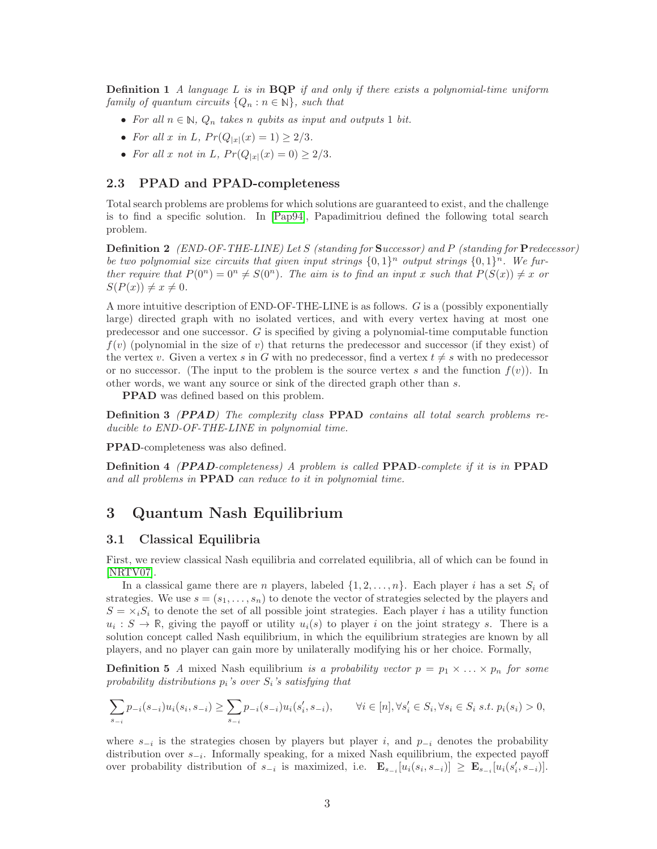**Definition 1** A language L is in  $BQP$  if and only if there exists a polynomial-time uniform family of quantum circuits  $\{Q_n : n \in \mathbb{N}\}\$ , such that

- For all  $n \in \mathbb{N}$ ,  $Q_n$  takes n qubits as input and outputs 1 bit.
- For all x in L,  $Pr(Q_{|x|}(x) = 1) \ge 2/3$ .
- For all x not in L,  $Pr(Q_{|x|}(x) = 0) \geq 2/3$ .

#### 2.3 PPAD and PPAD-completeness

Total search problems are problems for which solutions are guaranteed to exist, and the challenge is to find a specific solution. In [\[Pap94\]](#page-11-5), Papadimitriou defined the following total search problem.

Definition 2 (END-OF-THE-LINE) Let S (standing for Successor) and P (standing for Predecessor) be two polynomial size circuits that given input strings  $\{0,1\}^n$  output strings  $\{0,1\}^n$ . We further require that  $P(0^n) = 0^n \neq S(0^n)$ . The aim is to find an input x such that  $P(S(x)) \neq x$  or  $S(P(x)) \neq x \neq 0.$ 

A more intuitive description of END-OF-THE-LINE is as follows. G is a (possibly exponentially large) directed graph with no isolated vertices, and with every vertex having at most one predecessor and one successor.  $G$  is specified by giving a polynomial-time computable function  $f(v)$  (polynomial in the size of v) that returns the predecessor and successor (if they exist) of the vertex v. Given a vertex s in G with no predecessor, find a vertex  $t \neq s$  with no predecessor or no successor. (The input to the problem is the source vertex s and the function  $f(v)$ ). In other words, we want any source or sink of the directed graph other than s.

PPAD was defined based on this problem.

Definition 3 (PPAD) The complexity class PPAD contains all total search problems reducible to END-OF-THE-LINE in polynomial time.

PPAD-completeness was also defined.

Definition 4 (PPAD-completeness) A problem is called PPAD-complete if it is in PPAD and all problems in PPAD can reduce to it in polynomial time.

### 3 Quantum Nash Equilibrium

#### 3.1 Classical Equilibria

First, we review classical Nash equilibria and correlated equilibria, all of which can be found in [\[NRTV07\]](#page-11-1).

In a classical game there are n players, labeled  $\{1, 2, \ldots, n\}$ . Each player i has a set  $S_i$  of strategies. We use  $s = (s_1, \ldots, s_n)$  to denote the vector of strategies selected by the players and  $S = \times_i S_i$  to denote the set of all possible joint strategies. Each player i has a utility function  $u_i : S \to \mathbb{R}$ , giving the payoff or utility  $u_i(s)$  to player i on the joint strategy s. There is a solution concept called Nash equilibrium, in which the equilibrium strategies are known by all players, and no player can gain more by unilaterally modifying his or her choice. Formally,

**Definition 5** A mixed Nash equilibrium is a probability vector  $p = p_1 \times \ldots \times p_n$  for some probability distributions  $p_i$ 's over  $S_i$ 's satisfying that

$$
\sum_{s_{-i}} p_{-i}(s_{-i}) u_i(s_i, s_{-i}) \ge \sum_{s_{-i}} p_{-i}(s_{-i}) u_i(s'_i, s_{-i}), \qquad \forall i \in [n], \forall s'_i \in S_i, \forall s_i \in S_i \ s.t. \ p_i(s_i) > 0,
$$

where  $s_{-i}$  is the strategies chosen by players but player i, and  $p_{-i}$  denotes the probability distribution over s−<sup>i</sup> . Informally speaking, for a mixed Nash equilibrium, the expected payoff over probability distribution of  $s_{-i}$  is maximized, i.e.  $\mathbf{E}_{s_{-i}}[u_i(s_i, s_{-i})] \geq \mathbf{E}_{s_{-i}}[u_i(s'_i, s_{-i})]$ .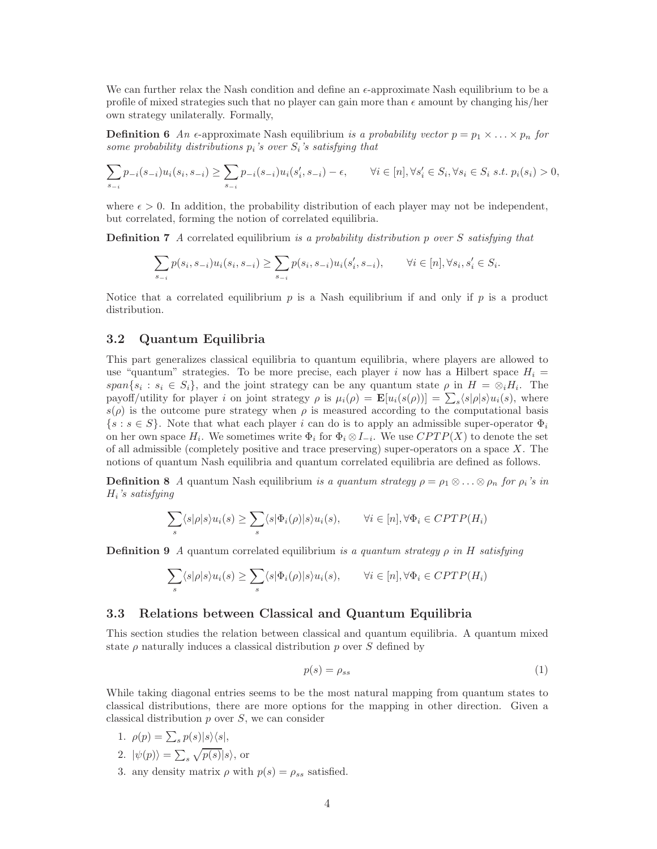We can further relax the Nash condition and define an  $\epsilon$ -approximate Nash equilibrium to be a profile of mixed strategies such that no player can gain more than  $\epsilon$  amount by changing his/her own strategy unilaterally. Formally,

**Definition 6** An  $\epsilon$ -approximate Nash equilibrium is a probability vector  $p = p_1 \times \ldots \times p_n$  for some probability distributions  $p_i$ 's over  $S_i$ 's satisfying that

$$
\sum_{s_{-i}} p_{-i}(s_{-i}) u_i(s_i, s_{-i}) \ge \sum_{s_{-i}} p_{-i}(s_{-i}) u_i(s'_i, s_{-i}) - \epsilon, \qquad \forall i \in [n], \forall s'_i \in S_i, \forall s_i \in S_i \ s.t. \ p_i(s_i) > 0,
$$

where  $\epsilon > 0$ . In addition, the probability distribution of each player may not be independent, but correlated, forming the notion of correlated equilibria.

Definition 7 A correlated equilibrium is a probability distribution p over S satisfying that

$$
\sum_{s_{-i}} p(s_i, s_{-i}) u_i(s_i, s_{-i}) \ge \sum_{s_{-i}} p(s_i, s_{-i}) u_i(s'_i, s_{-i}), \qquad \forall i \in [n], \forall s_i, s'_i \in S_i.
$$

Notice that a correlated equilibrium  $p$  is a Nash equilibrium if and only if  $p$  is a product distribution.

### 3.2 Quantum Equilibria

This part generalizes classical equilibria to quantum equilibria, where players are allowed to use "quantum" strategies. To be more precise, each player i now has a Hilbert space  $H_i =$  $span\{s_i: s_i \in S_i\}$ , and the joint strategy can be any quantum state  $\rho$  in  $H = \otimes_i H_i$ . The payoff/utility for player *i* on joint strategy  $\rho$  is  $\mu_i(\rho) = \mathbf{E}[u_i(s(\rho))] = \sum_s \langle s | \rho | s \rangle u_i(s)$ , where  $s(\rho)$  is the outcome pure strategy when  $\rho$  is measured according to the computational basis  $\{s : s \in S\}$ . Note that what each player i can do is to apply an admissible super-operator  $\Phi_i$ on her own space  $H_i$ . We sometimes write  $\Phi_i$  for  $\Phi_i \otimes I_{-i}$ . We use  $CPTP(X)$  to denote the set of all admissible (completely positive and trace preserving) super-operators on a space  $X$ . The notions of quantum Nash equilibria and quantum correlated equilibria are defined as follows.

**Definition 8** A quantum Nash equilibrium is a quantum strategy  $\rho = \rho_1 \otimes \ldots \otimes \rho_n$  for  $\rho_i$ 's in  $H_i$ 's satisfying

$$
\sum_{s} \langle s|\rho|s\rangle u_i(s) \ge \sum_{s} \langle s|\Phi_i(\rho)|s\rangle u_i(s), \qquad \forall i \in [n], \forall \Phi_i \in CPTP(H_i)
$$

**Definition 9** A quantum correlated equilibrium is a quantum strategy  $\rho$  in H satisfying

$$
\sum_{s} \langle s|\rho|s\rangle u_i(s) \ge \sum_{s} \langle s|\Phi_i(\rho)|s\rangle u_i(s), \qquad \forall i \in [n], \forall \Phi_i \in CPTP(H_i)
$$

### 3.3 Relations between Classical and Quantum Equilibria

This section studies the relation between classical and quantum equilibria. A quantum mixed state  $\rho$  naturally induces a classical distribution p over S defined by

$$
p(s) = \rho_{ss} \tag{1}
$$

While taking diagonal entries seems to be the most natural mapping from quantum states to classical distributions, there are more options for the mapping in other direction. Given a classical distribution  $p$  over  $S$ , we can consider

- 1.  $\rho(p) = \sum_s p(s)|s\rangle\langle s|,$
- 2.  $|\psi(p)\rangle = \sum_s \sqrt{p(s)}|s\rangle$ , or
- 3. any density matrix  $\rho$  with  $p(s) = \rho_{ss}$  satisfied.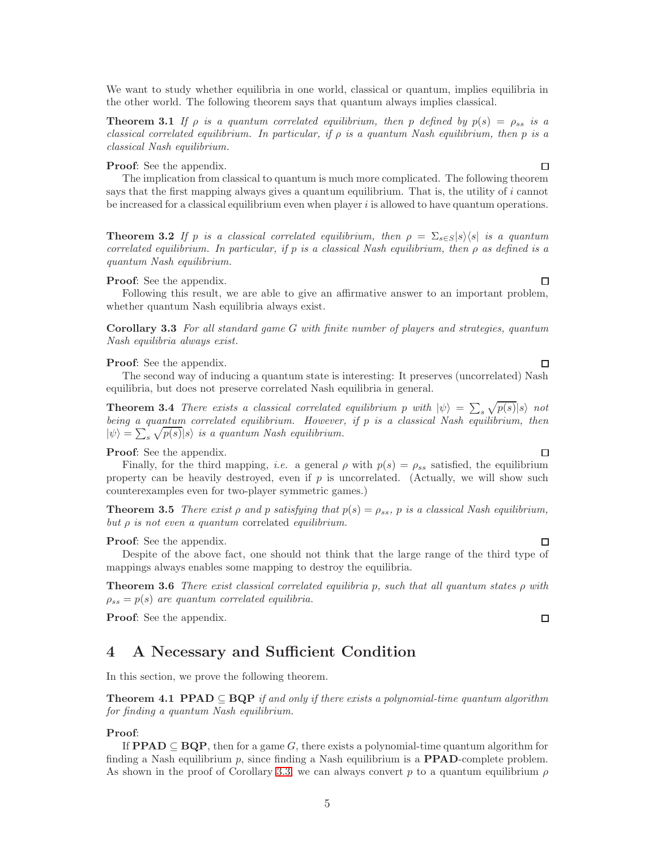We want to study whether equilibria in one world, classical or quantum, implies equilibria in the other world. The following theorem says that quantum always implies classical.

**Theorem 3.1** If  $\rho$  is a quantum correlated equilibrium, then p defined by  $p(s) = \rho_{ss}$  is a classical correlated equilibrium. In particular, if  $\rho$  is a quantum Nash equilibrium, then p is a classical Nash equilibrium.

#### Proof: See the appendix.

The implication from classical to quantum is much more complicated. The following theorem says that the first mapping always gives a quantum equilibrium. That is, the utility of  $i$  cannot be increased for a classical equilibrium even when player  $i$  is allowed to have quantum operations.

<span id="page-5-2"></span>**Theorem 3.2** If p is a classical correlated equilibrium, then  $\rho = \sum_{s \in S} |s\rangle\langle s|$  is a quantum correlated equilibrium. In particular, if p is a classical Nash equilibrium, then  $\rho$  as defined is a quantum Nash equilibrium.

#### Proof: See the appendix.

<span id="page-5-0"></span>Following this result, we are able to give an affirmative answer to an important problem, whether quantum Nash equilibria always exist.

Corollary 3.3 For all standard game G with finite number of players and strategies, quantum Nash equilibria always exist.

#### Proof: See the appendix.

The second way of inducing a quantum state is interesting: It preserves (uncorrelated) Nash equilibria, but does not preserve correlated Nash equilibria in general.

**Theorem 3.4** There exists a classical correlated equilibrium p with  $|\psi\rangle = \sum_{s} \sqrt{p(s)} |s\rangle$  not being a quantum correlated equilibrium. However, if p is a classical Nash equilibrium, then  $|\psi\rangle = \sum_{s} \sqrt{p(s)} |s\rangle$  is a quantum Nash equilibrium.

Proof: See the appendix.

Finally, for the third mapping, *i.e.* a general  $\rho$  with  $p(s) = \rho_{ss}$  satisfied, the equilibrium property can be heavily destroyed, even if  $p$  is uncorrelated. (Actually, we will show such counterexamples even for two-player symmetric games.)

**Theorem 3.5** There exist  $\rho$  and  $p$  satisfying that  $p(s) = \rho_{ss}$ ,  $p$  is a classical Nash equilibrium, but  $\rho$  is not even a quantum correlated equilibrium.

#### Proof: See the appendix.

Despite of the above fact, one should not think that the large range of the third type of mappings always enables some mapping to destroy the equilibria.

**Theorem 3.6** There exist classical correlated equilibria p, such that all quantum states  $\rho$  with  $\rho_{ss} = p(s)$  are quantum correlated equilibria.

Proof: See the appendix.

### 4 A Necessary and Sufficient Condition

In this section, we prove the following theorem.

**Theorem 4.1 PPAD**  $\subseteq$  **BQP** if and only if there exists a polynomial-time quantum algorithm for finding a quantum Nash equilibrium.

#### Proof:

If **PPAD**  $\subseteq$  **BQP**, then for a game G, there exists a polynomial-time quantum algorithm for finding a Nash equilibrium p, since finding a Nash equilibrium is a **PPAD**-complete problem. As shown in the proof of Corollary [3.3,](#page-5-0) we can always convert p to a quantum equilibrium  $\rho$ 

 $\Box$ 

<span id="page-5-5"></span> $\Box$ 

<span id="page-5-1"></span> $\Box$ 

<span id="page-5-3"></span> $\Box$ 

<span id="page-5-4"></span> $\Box$ 

 $\Box$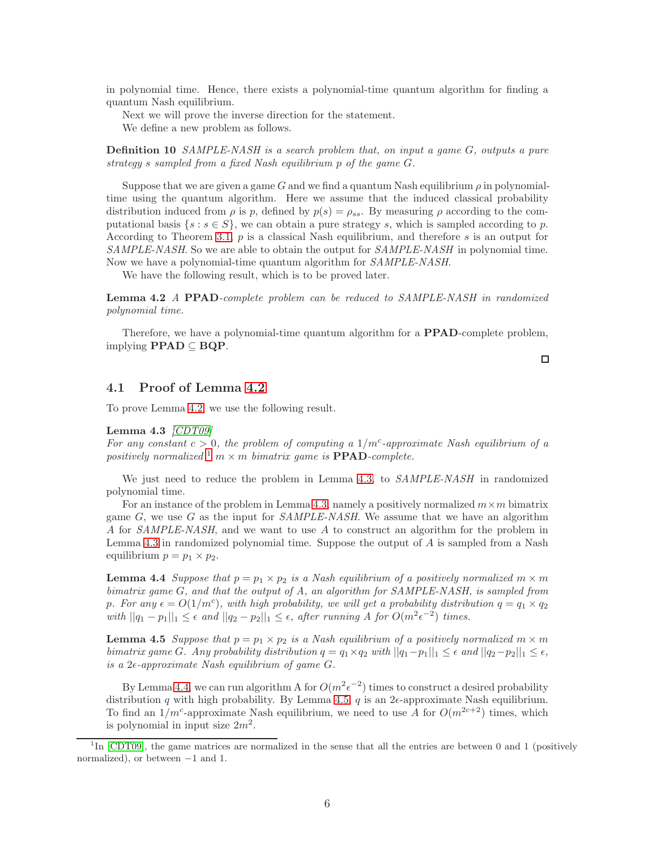in polynomial time. Hence, there exists a polynomial-time quantum algorithm for finding a quantum Nash equilibrium.

Next we will prove the inverse direction for the statement.

We define a new problem as follows.

Definition 10 SAMPLE-NASH is a search problem that, on input a game G, outputs a pure strategy s sampled from a fixed Nash equilibrium p of the game G.

Suppose that we are given a game G and we find a quantum Nash equilibrium  $\rho$  in polynomialtime using the quantum algorithm. Here we assume that the induced classical probability distribution induced from  $\rho$  is p, defined by  $p(s) = \rho_{ss}$ . By measuring  $\rho$  according to the computational basis  $\{s : s \in S\}$ , we can obtain a pure strategy s, which is sampled according to p. According to Theorem [3.1,](#page-5-1)  $p$  is a classical Nash equilibrium, and therefore  $s$  is an output for SAMPLE-NASH. So we are able to obtain the output for SAMPLE-NASH in polynomial time. Now we have a polynomial-time quantum algorithm for SAMPLE-NASH.

We have the following result, which is to be proved later.

<span id="page-6-0"></span>Lemma 4.2 A PPAD-complete problem can be reduced to SAMPLE-NASH in randomized polynomial time.

Therefore, we have a polynomial-time quantum algorithm for a **PPAD**-complete problem, implying  $\text{PPAD} \subseteq \text{BQP}$ .

 $\Box$ 

### 4.1 Proof of Lemma [4.2](#page-6-0)

<span id="page-6-2"></span>To prove Lemma [4.2,](#page-6-0) we use the following result.

#### Lemma 4.3  $\vert CDT09 \vert$

For any constant  $c > 0$ , the problem of computing a  $1/m^c$ -approximate Nash equilibrium of a positively normalized <sup>[1](#page-6-1)</sup> m  $\times$  m bimatrix game is **PPAD**-complete.

We just need to reduce the problem in Lemma [4.3,](#page-6-2) to *SAMPLE-NASH* in randomized polynomial time.

For an instance of the problem in Lemma [4.3,](#page-6-2) namely a positively normalized  $m \times m$  bimatrix game  $G$ , we use  $G$  as the input for *SAMPLE-NASH*. We assume that we have an algorithm A for SAMPLE-NASH, and we want to use A to construct an algorithm for the problem in Lemma [4.3](#page-6-2) in randomized polynomial time. Suppose the output of A is sampled from a Nash equilibrium  $p = p_1 \times p_2$ .

<span id="page-6-3"></span>**Lemma 4.4** Suppose that  $p = p_1 \times p_2$  is a Nash equilibrium of a positively normalized  $m \times m$ bimatrix game G, and that the output of A, an algorithm for SAMPLE-NASH, is sampled from p. For any  $\epsilon = O(1/m^c)$ , with high probability, we will get a probability distribution  $q = q_1 \times q_2$ with  $||q_1 - p_1||_1 \leq \epsilon$  and  $||q_2 - p_2||_1 \leq \epsilon$ , after running A for  $O(m^2 \epsilon^{-2})$  times.

<span id="page-6-4"></span>**Lemma 4.5** Suppose that  $p = p_1 \times p_2$  is a Nash equilibrium of a positively normalized  $m \times m$ bimatrix game G. Any probability distribution  $q = q_1 \times q_2$  with  $||q_1-p_1||_1 \leq \epsilon$  and  $||q_2-p_2||_1 \leq \epsilon$ , is a  $2\epsilon$ -approximate Nash equilibrium of game G.

By Lemma [4.4,](#page-6-3) we can run algorithm A for  $O(m^2 \epsilon^{-2})$  times to construct a desired probability distribution q with high probability. By Lemma [4.5,](#page-6-4) q is an  $2\epsilon$ -approximate Nash equilibrium. To find an  $1/m^c$ -approximate Nash equilibrium, we need to use A for  $O(m^{2c+2})$  times, which is polynomial in input size  $2m^2$ .

<span id="page-6-1"></span><sup>&</sup>lt;sup>1</sup>In [\[CDT09\]](#page-11-7), the game matrices are normalized in the sense that all the entries are between 0 and 1 (positively normalized), or between −1 and 1.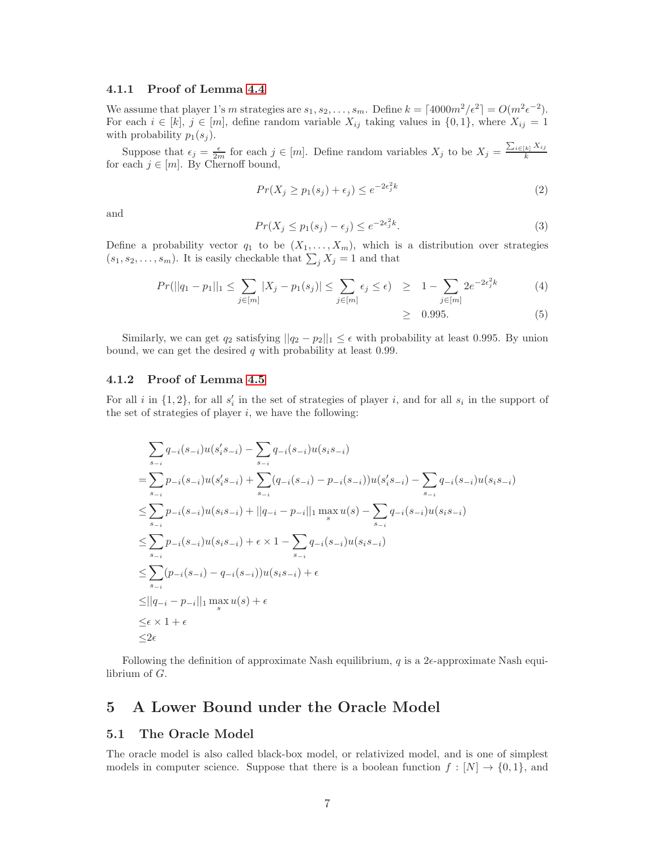### 4.1.1 Proof of Lemma [4.4](#page-6-3)

We assume that player 1's m strategies are  $s_1, s_2, \ldots, s_m$ . Define  $k = \lceil 4000m^2/\epsilon^2 \rceil = O(m^2\epsilon^{-2})$ . For each  $i \in [k], j \in [m]$ , define random variable  $X_{ij}$  taking values in  $\{0,1\}$ , where  $X_{ij} = 1$ with probability  $p_1(s_j)$ .

Suppose that  $\epsilon_j = \frac{\epsilon}{2m}$  for each  $j \in [m]$ . Define random variables  $X_j$  to be  $X_j = \frac{\sum_{i \in [k]} X_{ij}}{k}$ k for each  $j \in [m]$ . By Chernoff bound,

$$
Pr(X_j \ge p_1(s_j) + \epsilon_j) \le e^{-2\epsilon_j^2 k} \tag{2}
$$

and

$$
Pr(X_j \le p_1(s_j) - \epsilon_j) \le e^{-2\epsilon_j^2 k}.
$$
\n(3)

Define a probability vector  $q_1$  to be  $(X_1, \ldots, X_m)$ , which is a distribution over strategies  $(s_1, s_2, \ldots, s_m)$ . It is easily checkable that  $\sum_j X_j = 1$  and that

$$
Pr(||q_1 - p_1||_1 \le \sum_{j \in [m]} |X_j - p_1(s_j)| \le \sum_{j \in [m]} \epsilon_j \le \epsilon) \ge 1 - \sum_{j \in [m]} 2e^{-2\epsilon_j^2 k} \tag{4}
$$

$$
\geq \quad 0.995. \tag{5}
$$

Similarly, we can get  $q_2$  satisfying  $||q_2 - p_2||_1 \leq \epsilon$  with probability at least 0.995. By union bound, we can get the desired q with probability at least 0.99.

#### 4.1.2 Proof of Lemma [4.5](#page-6-4)

For all i in  $\{1,2\}$ , for all  $s'_i$  in the set of strategies of player i, and for all  $s_i$  in the support of the set of strategies of player  $i$ , we have the following:

$$
\sum_{s_{-i}} q_{-i}(s_{-i})u(s_i's_{-i}) - \sum_{s_{-i}} q_{-i}(s_{-i})u(s_i s_{-i})
$$
\n
$$
= \sum_{s_{-i}} p_{-i}(s_{-i})u(s_i's_{-i}) + \sum_{s_{-i}} (q_{-i}(s_{-i}) - p_{-i}(s_{-i}))u(s_i's_{-i}) - \sum_{s_{-i}} q_{-i}(s_{-i})u(s_i s_{-i})
$$
\n
$$
\leq \sum_{s_{-i}} p_{-i}(s_{-i})u(s_i s_{-i}) + ||q_{-i} - p_{-i}||_1 \max_{s} u(s) - \sum_{s_{-i}} q_{-i}(s_{-i})u(s_i s_{-i})
$$
\n
$$
\leq \sum_{s_{-i}} p_{-i}(s_{-i})u(s_i s_{-i}) + \epsilon \times 1 - \sum_{s_{-i}} q_{-i}(s_{-i})u(s_i s_{-i})
$$
\n
$$
\leq \sum_{s_{-i}} (p_{-i}(s_{-i}) - q_{-i}(s_{-i}))u(s_i s_{-i}) + \epsilon
$$
\n
$$
\leq ||q_{-i} - p_{-i}||_1 \max_{s} u(s) + \epsilon
$$
\n
$$
\leq \epsilon \times 1 + \epsilon
$$
\n
$$
\leq 2\epsilon
$$

Following the definition of approximate Nash equilibrium,  $q$  is a 2 $\epsilon$ -approximate Nash equilibrium of G.

## 5 A Lower Bound under the Oracle Model

### 5.1 The Oracle Model

The oracle model is also called black-box model, or relativized model, and is one of simplest models in computer science. Suppose that there is a boolean function  $f : [N] \to \{0,1\}$ , and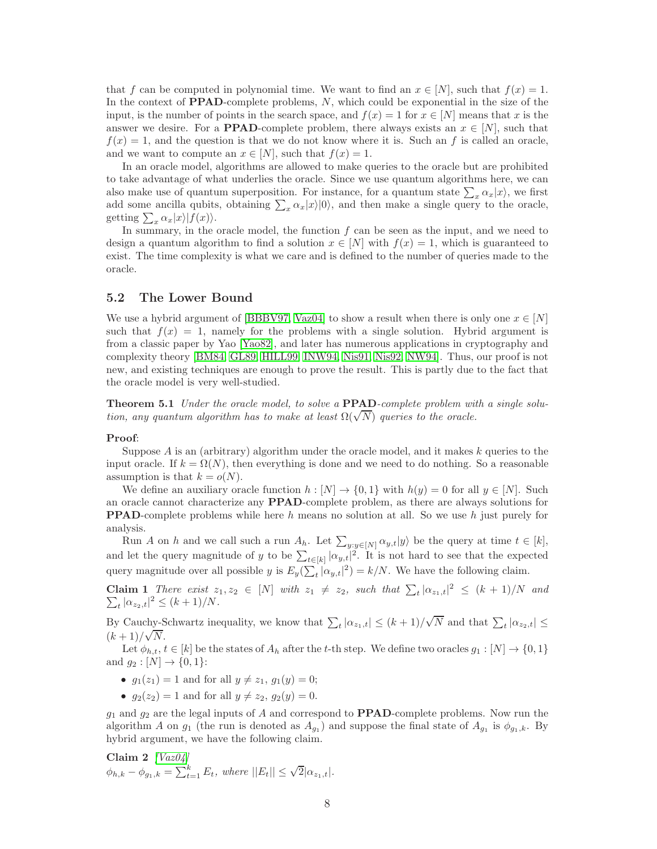that f can be computed in polynomial time. We want to find an  $x \in [N]$ , such that  $f(x) = 1$ . In the context of **PPAD**-complete problems, N, which could be exponential in the size of the input, is the number of points in the search space, and  $f(x) = 1$  for  $x \in [N]$  means that x is the answer we desire. For a **PPAD**-complete problem, there always exists an  $x \in [N]$ , such that  $f(x) = 1$ , and the question is that we do not know where it is. Such an f is called an oracle, and we want to compute an  $x \in [N]$ , such that  $f(x) = 1$ .

In an oracle model, algorithms are allowed to make queries to the oracle but are prohibited to take advantage of what underlies the oracle. Since we use quantum algorithms here, we can also make use of quantum superposition. For instance, for a quantum state  $\sum_{x} \alpha_x |x\rangle$ , we first add some ancilla qubits, obtaining  $\sum_{x} \alpha_x |x\rangle |0\rangle$ , and then make a single query to the oracle, getting  $\sum_{x} \alpha_x |x\rangle |f(x)\rangle$ .

In summary, in the oracle model, the function  $f$  can be seen as the input, and we need to design a quantum algorithm to find a solution  $x \in [N]$  with  $f(x) = 1$ , which is guaranteed to exist. The time complexity is what we care and is defined to the number of queries made to the oracle.

### 5.2 The Lower Bound

We use a hybrid argument of [\[BBBV97,](#page-11-3) [Vaz04\]](#page-11-11) to show a result when there is only one  $x \in [N]$ such that  $f(x) = 1$ , namely for the problems with a single solution. Hybrid argument is from a classic paper by Yao [\[Yao82\]](#page-11-12), and later has numerous applications in cryptography and complexity theory [\[BM84,](#page-11-13) [GL89,](#page-11-14) [HILL99,](#page-11-15) [INW94,](#page-11-16) [Nis91,](#page-11-17) [Nis92,](#page-11-18) [NW94\]](#page-11-19). Thus, our proof is not new, and existing techniques are enough to prove the result. This is partly due to the fact that the oracle model is very well-studied.

**Theorem 5.1** Under the oracle model, to solve a **PPAD**-complete problem with a single solution, any quantum algorithm has to make at least  $\Omega(\sqrt{N})$  queries to the oracle.

#### Proof:

Suppose  $A$  is an (arbitrary) algorithm under the oracle model, and it makes  $k$  queries to the input oracle. If  $k = \Omega(N)$ , then everything is done and we need to do nothing. So a reasonable assumption is that  $k = o(N)$ .

We define an auxiliary oracle function  $h : [N] \to \{0,1\}$  with  $h(y) = 0$  for all  $y \in [N]$ . Such an oracle cannot characterize any PPAD-complete problem, as there are always solutions for **PPAD**-complete problems while here h means no solution at all. So we use h just purely for analysis.

Run A on h and we call such a run  $A_h$ . Let  $\sum_{y:y\in[N]} \alpha_{y,t}|y\rangle$  be the query at time  $t \in [k]$ , and let the query magnitude of y to be  $\sum_{t\in[k]} |\alpha_{y,t}|^2$ . It is not hard to see that the expected query magnitude over all possible y is  $E_y(\sum_t |\alpha_{y,t}|^2) = k/N$ . We have the following claim.

Claim 1 There exist  $z_1, z_2 \in [N]$  with  $z_1 \neq z_2$ , such that  $\sum_t |\alpha_{z_1,t}|^2 \leq (k+1)/N$  and  $\sum_{t} |\alpha_{z_2,t}|^2 \leq (k+1)/N.$ 

By Cauchy-Schwartz inequality, we know that  $\sum_{t} |\alpha_{z_1,t}| \leq (k+1)/\sqrt{N}$  and that  $\sum_{t} |\alpha_{z_2,t}| \leq$  $(k + 1)/\sqrt{N}$ .

Let  $\phi_{h,t}, t \in [k]$  be the states of  $A_h$  after the t-th step. We define two oracles  $g_1 : [N] \to \{0, 1\}$ and  $g_2 : [N] \to \{0, 1\}$ :

- <span id="page-8-0"></span>•  $q_1(z_1) = 1$  and for all  $y \neq z_1, q_1(y) = 0$ ;
- $g_2(z_2) = 1$  and for all  $y \neq z_2$ ,  $g_2(y) = 0$ .

 $g_1$  and  $g_2$  are the legal inputs of A and correspond to **PPAD**-complete problems. Now run the algorithm A on  $g_1$  (the run is denoted as  $A_{g_1}$ ) and suppose the final state of  $A_{g_1}$  is  $\phi_{g_1,k}$ . By hybrid argument, we have the following claim.

**Claim 2** 
$$
[Vaz04]
$$
\n $\phi_{h,k} - \phi_{g_1,k} = \sum_{t=1}^k E_t$ , where  $||E_t|| \leq \sqrt{2} |\alpha_{z_1,t}|$ .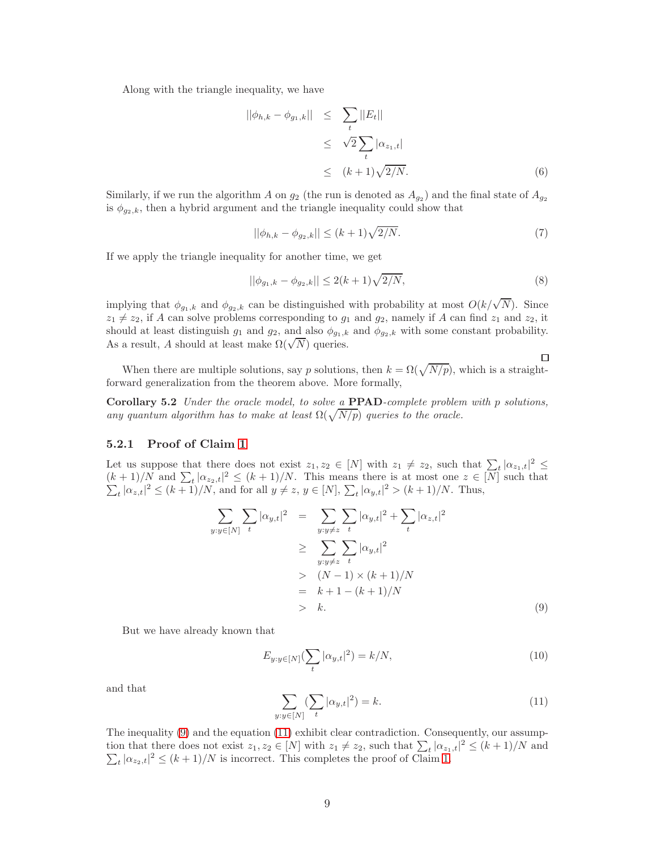Along with the triangle inequality, we have

$$
||\phi_{h,k} - \phi_{g_1,k}|| \leq \sum_t ||E_t||
$$
  
\n
$$
\leq \sqrt{2} \sum_t |\alpha_{z_1,t}|
$$
  
\n
$$
\leq (k+1)\sqrt{2/N}.
$$
 (6)

Similarly, if we run the algorithm A on  $g_2$  (the run is denoted as  $A_{g_2}$ ) and the final state of  $A_{g_2}$ is  $\phi_{q_2,k}$ , then a hybrid argument and the triangle inequality could show that

$$
||\phi_{h,k} - \phi_{g_2,k}|| \le (k+1)\sqrt{2/N}.
$$
 (7)

If we apply the triangle inequality for another time, we get

$$
||\phi_{g_1,k} - \phi_{g_2,k}|| \le 2(k+1)\sqrt{2/N},\tag{8}
$$

 $\Box$ 

implying that  $\phi_{g_1,k}$  and  $\phi_{g_2,k}$  can be distinguished with probability at most  $O(k/\sqrt{N})$ . Since  $z_1 \neq z_2$ , if A can solve problems corresponding to  $g_1$  and  $g_2$ , namely if A can find  $z_1$  and  $z_2$ , it should at least distinguish  $g_1$  and  $g_2$ , and also  $\phi_{g_1,k}$  and  $\phi_{g_2,k}$  with some constant probability. As a result, A should at least make  $\Omega(\sqrt{N})$  queries.

When there are multiple solutions, say p solutions, then  $k = \Omega(\sqrt{N/p})$ , which is a straightforward generalization from the theorem above. More formally,

**Corollary 5.2** Under the oracle model, to solve a  $\text{PPAD-complete problem with } p \text{ solutions}$ , any quantum algorithm has to make at least  $\Omega(\sqrt{N/p})$  queries to the oracle.

#### 5.2.1 Proof of Claim [1](#page-8-0)

Let us suppose that there does not exist  $z_1, z_2 \in [N]$  with  $z_1 \neq z_2$ , such that  $\sum_{z} |\alpha_{z_1,t}|^2 \leq$  $\frac{(k+1)}{N}$  and  $\sum_t |\alpha_{z_2,t}|$  $\sum$  $2 \le (k+1)/N$ . This means there is at most one  $z \in [N]$  such that  $|t|_{\alpha_z,t}|^2 \le (k+1)/N$ , and for all  $y \ne z, y \in [N], \sum_t |\alpha_{y,t}|^2 > (k+1)/N$ . Thus,

<span id="page-9-0"></span>
$$
\sum_{y:y \in [N]} \sum_{t} |\alpha_{y,t}|^2 = \sum_{y:y \neq z} \sum_{t} |\alpha_{y,t}|^2 + \sum_{t} |\alpha_{z,t}|^2
$$
\n
$$
\geq \sum_{y:y \neq z} \sum_{t} |\alpha_{y,t}|^2
$$
\n
$$
> (N-1) \times (k+1)/N
$$
\n
$$
= k+1 - (k+1)/N
$$
\n
$$
> k.
$$
\n(9)

But we have already known that

$$
E_{y:y \in [N]}(\sum_{t} |\alpha_{y,t}|^2) = k/N,
$$
\n(10)

and that

<span id="page-9-1"></span>
$$
\sum_{y:y \in [N]} (\sum_{t} |\alpha_{y,t}|^2) = k.
$$
\n(11)

The inequality [\(9\)](#page-9-0) and the equation [\(11\)](#page-9-1) exhibit clear contradiction. Consequently, our assumption that there does not exist  $z_1, z_2 \in [N]$  with  $z_1 \neq z_2$ , such that  $\sum_t |\alpha_{z_1,t}|$  $\sum$  $2 \le (k+1)/N$  and  $\sum_{t} |\alpha_{z_2,t}|^2 \le (k+1)/N$  is incorrect. This completes the proof of Claim [1.](#page-8-0)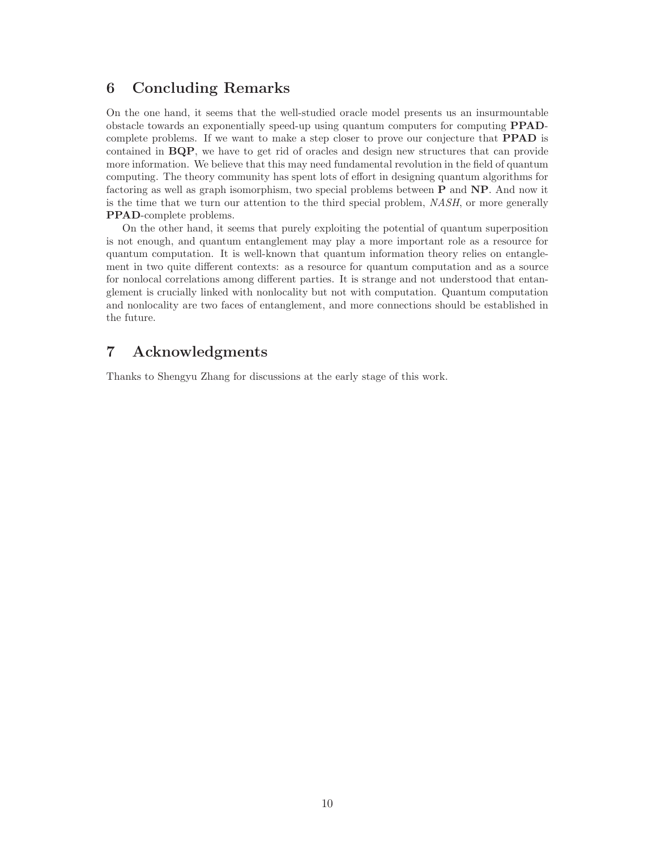# 6 Concluding Remarks

On the one hand, it seems that the well-studied oracle model presents us an insurmountable obstacle towards an exponentially speed-up using quantum computers for computing PPADcomplete problems. If we want to make a step closer to prove our conjecture that PPAD is contained in BQP, we have to get rid of oracles and design new structures that can provide more information. We believe that this may need fundamental revolution in the field of quantum computing. The theory community has spent lots of effort in designing quantum algorithms for factoring as well as graph isomorphism, two special problems between P and NP. And now it is the time that we turn our attention to the third special problem, NASH, or more generally PPAD-complete problems.

On the other hand, it seems that purely exploiting the potential of quantum superposition is not enough, and quantum entanglement may play a more important role as a resource for quantum computation. It is well-known that quantum information theory relies on entanglement in two quite different contexts: as a resource for quantum computation and as a source for nonlocal correlations among different parties. It is strange and not understood that entanglement is crucially linked with nonlocality but not with computation. Quantum computation and nonlocality are two faces of entanglement, and more connections should be established in the future.

# 7 Acknowledgments

Thanks to Shengyu Zhang for discussions at the early stage of this work.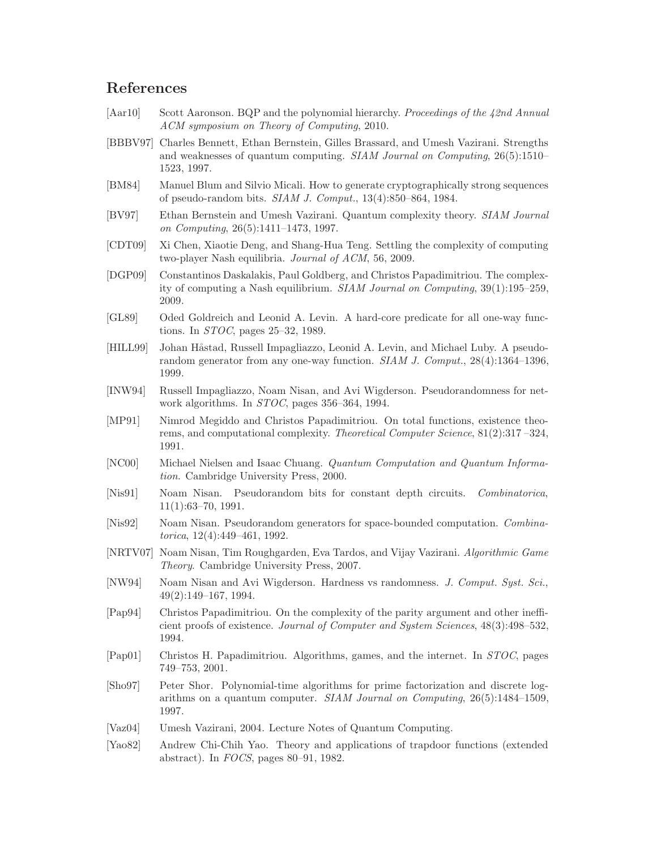# References

- <span id="page-11-4"></span>[Aar10] Scott Aaronson. BQP and the polynomial hierarchy. Proceedings of the 42nd Annual ACM symposium on Theory of Computing, 2010.
- <span id="page-11-3"></span>[BBBV97] Charles Bennett, Ethan Bernstein, Gilles Brassard, and Umesh Vazirani. Strengths and weaknesses of quantum computing. SIAM Journal on Computing, 26(5):1510– 1523, 1997.
- <span id="page-11-13"></span>[BM84] Manuel Blum and Silvio Micali. How to generate cryptographically strong sequences of pseudo-random bits. SIAM J. Comput., 13(4):850–864, 1984.
- <span id="page-11-2"></span>[BV97] Ethan Bernstein and Umesh Vazirani. Quantum complexity theory. SIAM Journal on Computing, 26(5):1411–1473, 1997.
- <span id="page-11-7"></span>[CDT09] Xi Chen, Xiaotie Deng, and Shang-Hua Teng. Settling the complexity of computing two-player Nash equilibria. Journal of ACM, 56, 2009.
- <span id="page-11-6"></span>[DGP09] Constantinos Daskalakis, Paul Goldberg, and Christos Papadimitriou. The complexity of computing a Nash equilibrium. SIAM Journal on Computing, 39(1):195–259, 2009.
- <span id="page-11-14"></span>[GL89] Oded Goldreich and Leonid A. Levin. A hard-core predicate for all one-way functions. In STOC, pages 25–32, 1989.
- <span id="page-11-15"></span>[HILL99] Johan Håstad, Russell Impagliazzo, Leonid A. Levin, and Michael Luby. A pseudorandom generator from any one-way function.  $SIAM$  J. Comput., 28(4):1364–1396, 1999.
- <span id="page-11-16"></span>[INW94] Russell Impagliazzo, Noam Nisan, and Avi Wigderson. Pseudorandomness for network algorithms. In STOC, pages 356–364, 1994.
- <span id="page-11-9"></span>[MP91] Nimrod Megiddo and Christos Papadimitriou. On total functions, existence theorems, and computational complexity. Theoretical Computer Science, 81(2):317 –324, 1991.
- <span id="page-11-0"></span>[NC00] Michael Nielsen and Isaac Chuang. Quantum Computation and Quantum Information. Cambridge University Press, 2000.
- <span id="page-11-17"></span>[Nis91] Noam Nisan. Pseudorandom bits for constant depth circuits. Combinatorica, 11(1):63–70, 1991.
- <span id="page-11-18"></span>[Nis92] Noam Nisan. Pseudorandom generators for space-bounded computation. Combinatorica, 12(4):449–461, 1992.
- <span id="page-11-1"></span>[NRTV07] Noam Nisan, Tim Roughgarden, Eva Tardos, and Vijay Vazirani. Algorithmic Game Theory. Cambridge University Press, 2007.
- <span id="page-11-19"></span>[NW94] Noam Nisan and Avi Wigderson. Hardness vs randomness. *J. Comput. Syst. Sci.*, 49(2):149–167, 1994.
- <span id="page-11-5"></span>[Pap94] Christos Papadimitriou. On the complexity of the parity argument and other inefficient proofs of existence. Journal of Computer and System Sciences, 48(3):498–532, 1994.
- <span id="page-11-10"></span>[Pap01] Christos H. Papadimitriou. Algorithms, games, and the internet. In STOC, pages 749–753, 2001.
- <span id="page-11-8"></span>[Sho97] Peter Shor. Polynomial-time algorithms for prime factorization and discrete logarithms on a quantum computer. SIAM Journal on Computing, 26(5):1484–1509, 1997.
- <span id="page-11-11"></span>[Vaz04] Umesh Vazirani, 2004. Lecture Notes of Quantum Computing.
- <span id="page-11-12"></span>[Yao82] Andrew Chi-Chih Yao. Theory and applications of trapdoor functions (extended abstract). In FOCS, pages 80–91, 1982.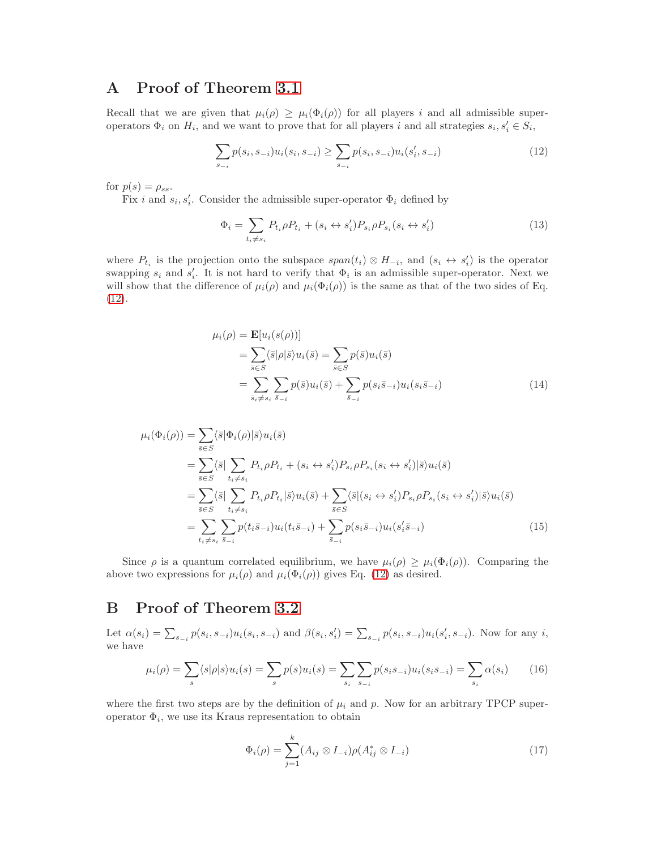# A Proof of Theorem [3.1](#page-5-1)

Recall that we are given that  $\mu_i(\rho) \geq \mu_i(\Phi_i(\rho))$  for all players i and all admissible superoperators  $\Phi_i$  on  $H_i$ , and we want to prove that for all players i and all strategies  $s_i, s'_i \in S_i$ ,

<span id="page-12-0"></span>
$$
\sum_{s_{-i}} p(s_i, s_{-i}) u_i(s_i, s_{-i}) \ge \sum_{s_{-i}} p(s_i, s_{-i}) u_i(s'_i, s_{-i})
$$
\n(12)

for  $p(s) = \rho_{ss}$ .

Fix *i* and  $s_i, s'_i$ . Consider the admissible super-operator  $\Phi_i$  defined by

$$
\Phi_i = \sum_{t_i \neq s_i} P_{t_i} \rho P_{t_i} + (s_i \leftrightarrow s_i') P_{s_i} \rho P_{s_i} (s_i \leftrightarrow s_i')
$$
\n(13)

where  $P_{t_i}$  is the projection onto the subspace  $span(t_i) \otimes H_{-i}$ , and  $(s_i \leftrightarrow s'_i)$  is the operator swapping  $s_i$  and  $s'_i$ . It is not hard to verify that  $\Phi_i$  is an admissible super-operator. Next we will show that the difference of  $\mu_i(\rho)$  and  $\mu_i(\Phi_i(\rho))$  is the same as that of the two sides of Eq. [\(12\)](#page-12-0).

$$
\mu_i(\rho) = \mathbf{E}[u_i(s(\rho))]
$$
  
= 
$$
\sum_{\overline{s} \in S} \langle \overline{s} | \rho | \overline{s} \rangle u_i(\overline{s}) = \sum_{\overline{s} \in S} p(\overline{s}) u_i(\overline{s})
$$
  
= 
$$
\sum_{\overline{s}_i \neq s_i} \sum_{\overline{s}_{-i}} p(\overline{s}) u_i(\overline{s}) + \sum_{\overline{s}_{-i}} p(s_i \overline{s}_{-i}) u_i(s_i \overline{s}_{-i})
$$
(14)

$$
\mu_i(\Phi_i(\rho)) = \sum_{\overline{s} \in S} \langle \overline{s} | \Phi_i(\rho) | \overline{s} \rangle u_i(\overline{s})
$$
  
\n
$$
= \sum_{\overline{s} \in S} \langle \overline{s} | \sum_{t_i \neq s_i} P_{t_i} \rho P_{t_i} + (s_i \leftrightarrow s_i') P_{s_i} \rho P_{s_i} (s_i \leftrightarrow s_i') | \overline{s} \rangle u_i(\overline{s})
$$
  
\n
$$
= \sum_{\overline{s} \in S} \langle \overline{s} | \sum_{t_i \neq s_i} P_{t_i} \rho P_{t_i} | \overline{s} \rangle u_i(\overline{s}) + \sum_{\overline{s} \in S} \langle \overline{s} | (s_i \leftrightarrow s_i') P_{s_i} \rho P_{s_i} (s_i \leftrightarrow s_i') | \overline{s} \rangle u_i(\overline{s})
$$
  
\n
$$
= \sum_{t_i \neq s_i} \sum_{\overline{s} = i} p(t_i \overline{s}_{-i}) u_i(t_i \overline{s}_{-i}) + \sum_{\overline{s} = i} p(s_i \overline{s}_{-i}) u_i(s_i' \overline{s}_{-i})
$$
(15)

Since  $\rho$  is a quantum correlated equilibrium, we have  $\mu_i(\rho) \geq \mu_i(\Phi_i(\rho))$ . Comparing the above two expressions for  $\mu_i(\rho)$  and  $\mu_i(\Phi_i(\rho))$  gives Eq. [\(12\)](#page-12-0) as desired.

# B Proof of Theorem [3.2](#page-5-2)

Let  $\alpha(s_i) = \sum_{s_{-i}} p(s_i, s_{-i}) u_i(s_i, s_{-i})$  and  $\beta(s_i, s'_i) = \sum_{s_{-i}} p(s_i, s_{-i}) u_i(s'_i, s_{-i})$ . Now for any i, we have

$$
\mu_i(\rho) = \sum_{s} \langle s|\rho|s\rangle u_i(s) = \sum_{s} p(s)u_i(s) = \sum_{s_i} \sum_{s_{-i}} p(s_i s_{-i}) u_i(s_i s_{-i}) = \sum_{s_i} \alpha(s_i)
$$
(16)

where the first two steps are by the definition of  $\mu_i$  and p. Now for an arbitrary TPCP superoperator  $\Phi_i$ , we use its Kraus representation to obtain

<span id="page-12-1"></span>
$$
\Phi_i(\rho) = \sum_{j=1}^k (A_{ij} \otimes I_{-i}) \rho(A_{ij}^* \otimes I_{-i})
$$
\n(17)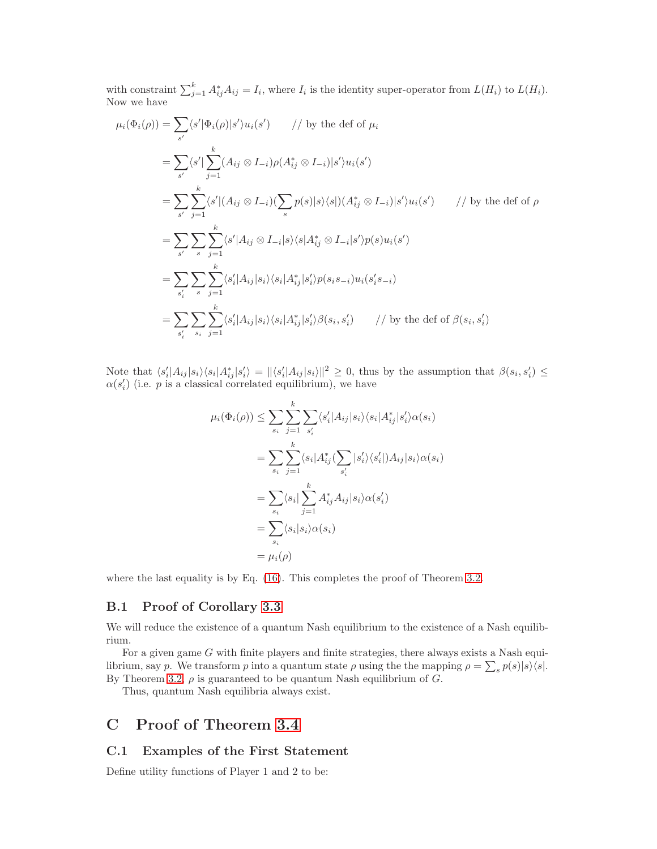with constraint  $\sum_{j=1}^{k} A_{ij}^* A_{ij} = I_i$ , where  $I_i$  is the identity super-operator from  $L(H_i)$  to  $L(H_i)$ . Now we have

$$
\mu_i(\Phi_i(\rho)) = \sum_{s'} \langle s' | \Phi_i(\rho) | s' \rangle u_i(s') \qquad // \text{ by the def of } \mu_i
$$
  
\n
$$
= \sum_{s'} \langle s' | \sum_{j=1}^k (A_{ij} \otimes I_{-i}) \rho(A_{ij}^* \otimes I_{-i}) | s' \rangle u_i(s')
$$
  
\n
$$
= \sum_{s'} \sum_{j=1}^k \langle s' | (A_{ij} \otimes I_{-i}) (\sum_s p(s) | s \rangle \langle s |) (A_{ij}^* \otimes I_{-i}) | s' \rangle u_i(s') \qquad // \text{ by the def of } \rho
$$
  
\n
$$
= \sum_{s'} \sum_{s} \sum_{j=1}^k \langle s' | A_{ij} \otimes I_{-i} | s \rangle \langle s | A_{ij}^* \otimes I_{-i} | s' \rangle p(s) u_i(s')
$$
  
\n
$$
= \sum_{s'_i} \sum_{s} \sum_{j=1}^k \langle s'_i | A_{ij} | s_i \rangle \langle s_i | A_{ij}^* | s'_i \rangle p(s_i s_{-i}) u_i(s'_i s_{-i})
$$
  
\n
$$
= \sum_{s'_i} \sum_{s_i} \sum_{j=1}^k \langle s'_i | A_{ij} | s_i \rangle \langle s_i | A_{ij}^* | s'_i \rangle \beta(s_i, s'_i) \qquad // \text{ by the def of } \beta(s_i, s'_i)
$$

Note that  $\langle s_i' | A_{ij} | s_i \rangle \langle s_i | A_{ij}^* | s_i' \rangle = ||\langle s_i' | A_{ij} | s_i \rangle||^2 \geq 0$ , thus by the assumption that  $\beta(s_i, s_i') \leq$  $\alpha(s_i)$  (i.e. p is a classical correlated equilibrium), we have

$$
\mu_i(\Phi_i(\rho)) \leq \sum_{s_i} \sum_{j=1}^k \sum_{s'_i} \langle s'_i | A_{ij} | s_i \rangle \langle s_i | A_{ij}^* | s'_i \rangle \alpha(s_i)
$$
  

$$
= \sum_{s_i} \sum_{j=1}^k \langle s_i | A_{ij}^* (\sum_{s'_i} | s'_i \rangle \langle s'_i |) A_{ij} | s_i \rangle \alpha(s_i)
$$
  

$$
= \sum_{s_i} \langle s_i | \sum_{j=1}^k A_{ij}^* A_{ij} | s_i \rangle \alpha(s'_i)
$$
  

$$
= \sum_{s_i} \langle s_i | s_i \rangle \alpha(s_i)
$$
  

$$
= \mu_i(\rho)
$$

where the last equality is by Eq.  $(16)$ . This completes the proof of Theorem [3.2.](#page-5-2)

### B.1 Proof of Corollary [3.3](#page-5-0)

We will reduce the existence of a quantum Nash equilibrium to the existence of a Nash equilibrium.

For a given game  $G$  with finite players and finite strategies, there always exists a Nash equilibrium, say p. We transform p into a quantum state  $\rho$  using the the mapping  $\rho = \sum_s p(s) |s\rangle\langle s|$ . By Theorem [3.2,](#page-5-2)  $\rho$  is guaranteed to be quantum Nash equilibrium of G.

Thus, quantum Nash equilibria always exist.

# C Proof of Theorem [3.4](#page-5-3)

### C.1 Examples of the First Statement

Define utility functions of Player 1 and 2 to be: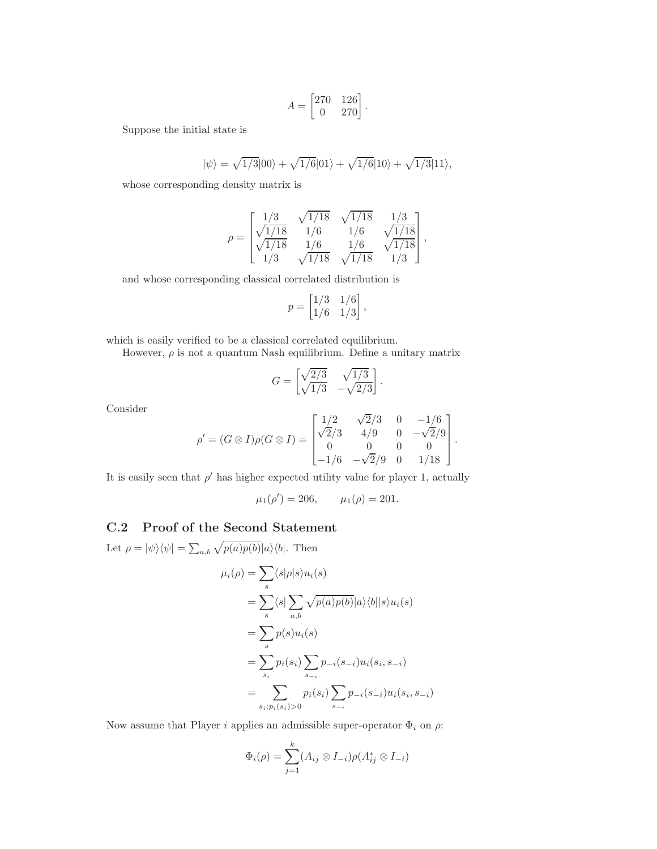$$
A = \begin{bmatrix} 270 & 126 \\ 0 & 270 \end{bmatrix}
$$

.

Suppose the initial state is

$$
|\psi\rangle = \sqrt{1/3}|00\rangle + \sqrt{1/6}|01\rangle + \sqrt{1/6}|10\rangle + \sqrt{1/3}|11\rangle,
$$

whose corresponding density matrix is

$$
\rho = \begin{bmatrix} 1/3 & \sqrt{1/18} & \sqrt{1/18} & 1/3 \\ \sqrt{1/18} & 1/6 & 1/6 & \sqrt{1/18} \\ \sqrt{1/18} & 1/6 & 1/6 & \sqrt{1/18} \\ 1/3 & \sqrt{1/18} & \sqrt{1/18} & 1/3 \end{bmatrix},
$$

and whose corresponding classical correlated distribution is

$$
p = \begin{bmatrix} 1/3 & 1/6 \\ 1/6 & 1/3 \end{bmatrix},
$$

which is easily verified to be a classical correlated equilibrium.

However,  $\rho$  is not a quantum Nash equilibrium. Define a unitary matrix

$$
G = \begin{bmatrix} \sqrt{2/3} & \sqrt{1/3} \\ \sqrt{1/3} & -\sqrt{2/3} \end{bmatrix}
$$

.

Consider

$$
\rho' = (G \otimes I)\rho(G \otimes I) = \begin{bmatrix} 1/2 & \sqrt{2}/3 & 0 & -1/6 \\ \sqrt{2}/3 & 4/9 & 0 & -\sqrt{2}/9 \\ 0 & 0 & 0 & 0 \\ -1/6 & -\sqrt{2}/9 & 0 & 1/18 \end{bmatrix}.
$$

It is easily seen that  $\rho'$  has higher expected utility value for player 1, actually

 $\mu_1(\rho') = 206, \qquad \mu_1(\rho) = 201.$ 

### C.2 Proof of the Second Statement

Let  $\rho = |\psi\rangle\langle\psi| = \sum_{a,b} \sqrt{p(a)p(b)}|a\rangle\langle b|$ . Then

$$
\mu_i(\rho) = \sum_s \langle s|\rho|s\rangle u_i(s)
$$
  
= 
$$
\sum_s \langle s|\sum_{a,b} \sqrt{p(a)p(b)}|a\rangle \langle b||s\rangle u_i(s)
$$
  
= 
$$
\sum_s p(s)u_i(s)
$$
  
= 
$$
\sum_{s_i} p_i(s_i) \sum_{s_{-i}} p_{-i}(s_{-i})u_i(s_i, s_{-i})
$$
  
= 
$$
\sum_{s_i: p_i(s_i) > 0} p_i(s_i) \sum_{s_{-i}} p_{-i}(s_{-i})u_i(s_i, s_{-i})
$$

Now assume that Player i applies an admissible super-operator  $\Phi_i$  on  $\rho$ :

$$
\Phi_i(\rho) = \sum_{j=1}^k (A_{ij} \otimes I_{-i}) \rho(A_{ij}^* \otimes I_{-i})
$$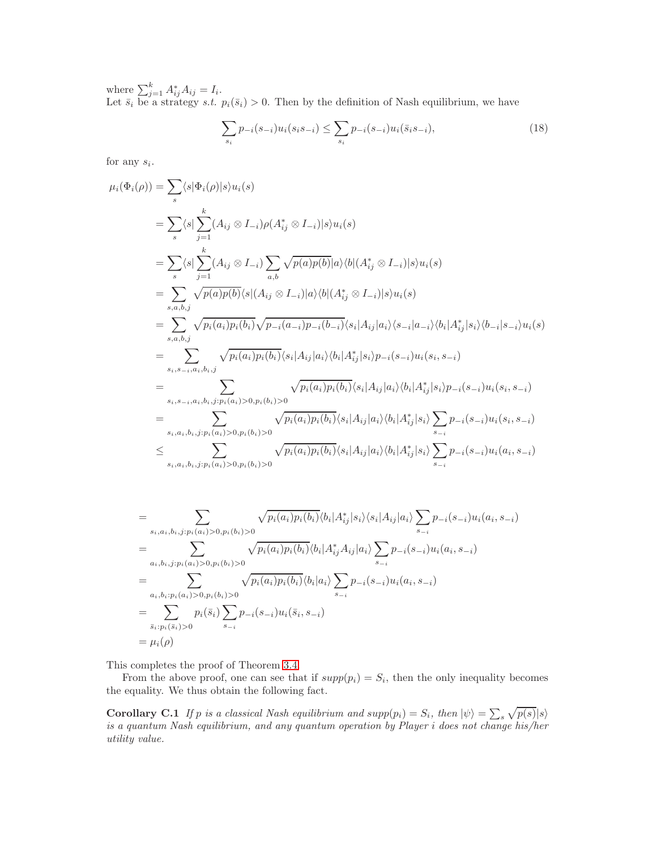where  $\sum_{j=1}^{k} A_{ij}^* A_{ij} = I_i$ . Let  $\bar{s}_i$  be a strategy s.t.  $p_i(\bar{s}_i) > 0$ . Then by the definition of Nash equilibrium, we have

$$
\sum_{s_i} p_{-i}(s_{-i}) u_i(s_i s_{-i}) \le \sum_{s_i} p_{-i}(s_{-i}) u_i(\bar{s}_i s_{-i}),\tag{18}
$$

for any  $s_i$ .

$$
\mu_i(\Phi_i(\rho)) = \sum_{s} \langle s | \Phi_i(\rho) | s \rangle u_i(s)
$$
\n
$$
= \sum_{s} \langle s | \sum_{j=1}^k (A_{ij} \otimes I_{-i}) \rho(A_{ij}^* \otimes I_{-i}) | s \rangle u_i(s)
$$
\n
$$
= \sum_{s} \langle s | \sum_{j=1}^k (A_{ij} \otimes I_{-i}) \sum_{a,b} \sqrt{p(a)p(b)} | a \rangle \langle b | (A_{ij}^* \otimes I_{-i}) | s \rangle u_i(s)
$$
\n
$$
= \sum_{s,a,b,j} \sqrt{p(a)p(b)} \langle s | (A_{ij} \otimes I_{-i}) | a \rangle \langle b | (A_{ij}^* \otimes I_{-i}) | s \rangle u_i(s)
$$
\n
$$
= \sum_{s,a,b,j} \sqrt{p_i(a_i)p_i(b_i)} \sqrt{p_{-i}(a_{-i})p_{-i}(b_{-i})} \langle s_i | A_{ij} | a_i \rangle \langle s_{-i} | a_{-i} \rangle \langle b_i | A_{ij}^* | s_i \rangle \langle b_{-i} | s_{-i} \rangle u_i(s)
$$
\n
$$
= \sum_{s_i,s_{-i},a_i,b_i,j} \sqrt{p_i(a_i)p_i(b_i)} \langle s_i | A_{ij} | a_i \rangle \langle b_i | A_{ij}^* | s_i \rangle p_{-i}(s_{-i}) u_i(s_i, s_{-i})
$$
\n
$$
= \sum_{s_i,s_{-i},a_i,b_i,j:p_i(a_i) > 0,p_i(b_i) > 0} \sqrt{p_i(a_i)p_i(b_i)} \langle s_i | A_{ij} | a_i \rangle \langle b_i | A_{ij}^* | s_i \rangle p_{-i}(s_{-i}) u_i(s_i, s_{-i})
$$
\n
$$
= \sum_{s_i,a_i,b_i,j:p_i(a_i) > 0,p_i(b_i) > 0} \sqrt{p_i(a_i)p_i(b_i)} \langle s_i | A_{ij} | a_i \rangle \langle b_i | A_{ij}^* | s_i \rangle \sum_{s_{-i}} p_{-i}(s_{-i}) u_i(a_i, s_{-i})
$$
\n
$$
\leq \sum_{s_i,a_i,b_i,j:p_i(a_i) > 0,p_i(b_i) > 0} \sqrt{p_i(a_i)p_i(b_i)} \langle s_i | A_{ij} | a_i \rangle \langle b_i | A
$$

$$
= \sum_{s_i, a_i, b_i, j: p_i(a_i) > 0, p_i(b_i) > 0} \sqrt{p_i(a_i)p_i(b_i)} \langle b_i | A_{ij}^* | s_i \rangle \langle s_i | A_{ij} | a_i \rangle \sum_{s_{-i}} p_{-i}(s_{-i}) u_i(a_i, s_{-i})
$$
  
\n
$$
= \sum_{a_i, b_i, j: p_i(a_i) > 0, p_i(b_i) > 0} \sqrt{p_i(a_i)p_i(b_i)} \langle b_i | A_{ij}^* A_{ij} | a_i \rangle \sum_{s_{-i}} p_{-i}(s_{-i}) u_i(a_i, s_{-i})
$$
  
\n
$$
= \sum_{a_i, b_i: p_i(a_i) > 0, p_i(b_i) > 0} \sqrt{p_i(a_i)p_i(b_i)} \langle b_i | a_i \rangle \sum_{s_{-i}} p_{-i}(s_{-i}) u_i(a_i, s_{-i})
$$
  
\n
$$
= \sum_{\bar{s}_i: p_i(\bar{s}_i) > 0} p_i(\bar{s}_i) \sum_{s_{-i}} p_{-i}(s_{-i}) u_i(\bar{s}_i, s_{-i})
$$
  
\n
$$
= \mu_i(\rho)
$$

This completes the proof of Theorem [3.4.](#page-5-3)

From the above proof, one can see that if  $supp(p_i) = S_i$ , then the only inequality becomes the equality. We thus obtain the following fact.

**Corollary C.1** If p is a classical Nash equilibrium and  $supp(p_i) = S_i$ , then  $|\psi\rangle = \sum_s \sqrt{p(s)} |s\rangle$ is a quantum Nash equilibrium, and any quantum operation by Player i does not change his/her utility value.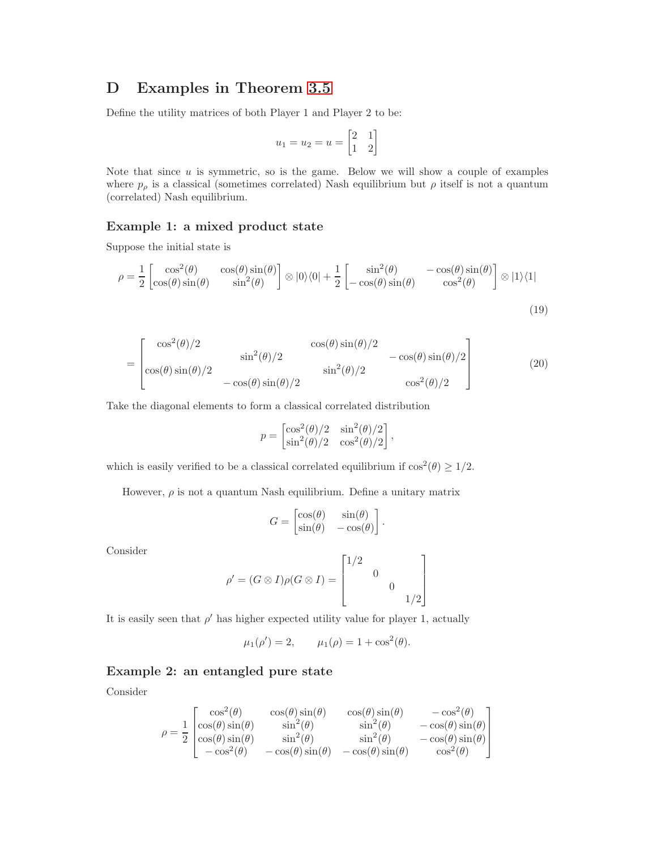## D Examples in Theorem [3.5](#page-5-4)

Define the utility matrices of both Player 1 and Player 2 to be:

$$
u_1 = u_2 = u = \begin{bmatrix} 2 & 1 \\ 1 & 2 \end{bmatrix}
$$

Note that since  $u$  is symmetric, so is the game. Below we will show a couple of examples where  $p_{\rho}$  is a classical (sometimes correlated) Nash equilibrium but  $\rho$  itself is not a quantum (correlated) Nash equilibrium.

## Example 1: a mixed product state

Suppose the initial state is

$$
\rho = \frac{1}{2} \begin{bmatrix} \cos^2(\theta) & \cos(\theta)\sin(\theta) \\ \cos(\theta)\sin(\theta) & \sin^2(\theta) \end{bmatrix} \otimes |0\rangle\langle 0| + \frac{1}{2} \begin{bmatrix} \sin^2(\theta) & -\cos(\theta)\sin(\theta) \\ -\cos(\theta)\sin(\theta) & \cos^2(\theta) \end{bmatrix} \otimes |1\rangle\langle 1|
$$
\n(19)

$$
= \begin{bmatrix} \cos^2(\theta)/2 & \cos(\theta)\sin(\theta)/2 & -\cos(\theta)\sin(\theta)/2\\ \cos(\theta)\sin(\theta)/2 & \sin^2(\theta)/2 & \sin^2(\theta)/2 & \cos^2(\theta)/2 \end{bmatrix}
$$
(20)

Take the diagonal elements to form a classical correlated distribution

<span id="page-16-0"></span>
$$
p = \begin{bmatrix} \cos^2(\theta)/2 & \sin^2(\theta)/2 \\ \sin^2(\theta)/2 & \cos^2(\theta)/2 \end{bmatrix},
$$

which is easily verified to be a classical correlated equilibrium if  $\cos^2(\theta) \ge 1/2$ .

However,  $\rho$  is not a quantum Nash equilibrium. Define a unitary matrix

$$
G = \begin{bmatrix} \cos(\theta) & \sin(\theta) \\ \sin(\theta) & -\cos(\theta) \end{bmatrix}.
$$

Consider

$$
\rho' = (G \otimes I)\rho(G \otimes I) = \begin{bmatrix} 1/2 & & & \\ & 0 & & \\ & & 0 & \\ & & & 1/2 \end{bmatrix}
$$

It is easily seen that  $\rho'$  has higher expected utility value for player 1, actually

$$
\mu_1(\rho') = 2,
$$
\n $\mu_1(\rho) = 1 + \cos^2(\theta).$ 

### Example 2: an entangled pure state

Consider

$$
\rho = \frac{1}{2} \begin{bmatrix} \cos^2(\theta) & \cos(\theta)\sin(\theta) & \cos(\theta)\sin(\theta) & -\cos^2(\theta) \\ \cos(\theta)\sin(\theta) & \sin^2(\theta) & \sin^2(\theta) & -\cos(\theta)\sin(\theta) \\ \cos(\theta)\sin(\theta) & \sin^2(\theta) & \sin^2(\theta) & -\cos(\theta)\sin(\theta) \\ -\cos^2(\theta) & -\cos(\theta)\sin(\theta) & -\cos(\theta)\sin(\theta) & \cos^2(\theta) \end{bmatrix}
$$